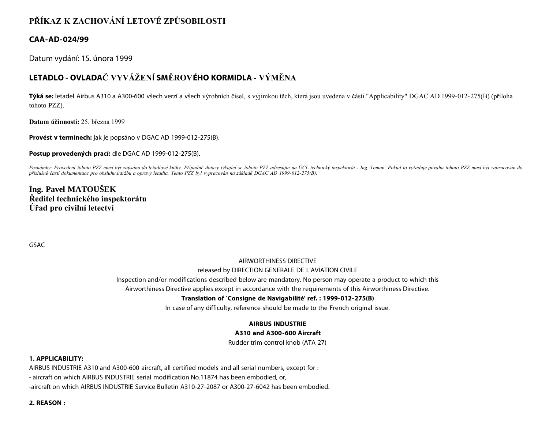# **PŘÍKAZ K ZACHOVÁNÍ LETOVÉ ZPŮSOBILOSTI**

# **CAA-AD-024/99**

Datum vydání: 15. února 1999

# **LETADLO - OVLADAČ VYVÁŽENÍ SMĚROVÉHO KORMIDLA - VÝMĚNA**

**Týká se:** letadel Airbus A310 a A300-600 všech verzí a všech výrobních čísel, s výjimkou těch, která jsou uvedena v části "Applicability" DGAC AD 1999-012-275(B) (příloha tohoto PZZ).

**Datum účinnosti:** 25. března 1999

**Provést v termínech:** jak je popsáno v DGAC AD 1999-012-275(B).

**Postup provedených prací:** dle DGAC AD 1999-012-275(B).

Poznámky: Provedení tohoto PZZ musí být zapsáno do letadlové knihy. Případné dotazy týkající se tohoto PZZ adresujte na ÚCL technický inspektorát - Ing. Toman. Pokud to vyžaduje povaha tohoto PZZ musí být zapracován do *příslušné části dokumentace pro obsluhu,údržbu a opravy letadla. Tento PZZ byl vypracován na základě DGAC AD 1999-012-275(B).*

# **Ing. Pavel MATOUŠEK Ředitel technického inspektorátu Úřad pro civilní letectví**

GSAC

# AIRWORTHINESS DIRECTIVE

#### released by DIRECTION GENERALE DE L'AVIATION CIVILE

Inspection and/or modifications described below are mandatory. No person may operate a product to which this

Airworthiness Directive applies except in accordance with the requirements of this Airworthiness Directive.

## **Translation of `Consigne de Navigabilité' ref. : 1999-012-275(B)**

In case of any difficulty, reference should be made to the French original issue.

# **AIRBUS INDUSTRIE**

## **A310 and A300-600 Aircraft**

Rudder trim control knob (ATA 27)

## **1. APPLICABILITY:**

AIRBUS INDUSTRIE A310 and A300-600 aircraft, all certified models and all serial numbers, except for : - aircraft on which AIRBUS INDUSTRIE serial modification No.11874 has been embodied, or, -aircraft on which AIRBUS INDUSTRIE Service Bulletin A310-27-2087 or A300-27-6042 has been embodied.

**2. REASON :**